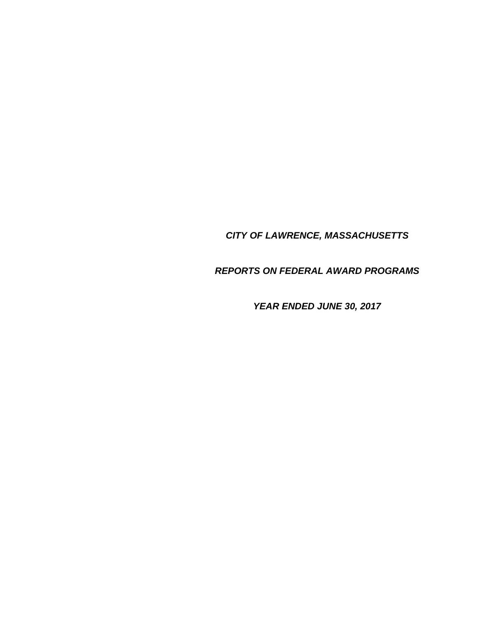*CITY OF LAWRENCE, MASSACHUSETTS* 

*REPORTS ON FEDERAL AWARD PROGRAMS* 

*YEAR ENDED JUNE 30, 2017*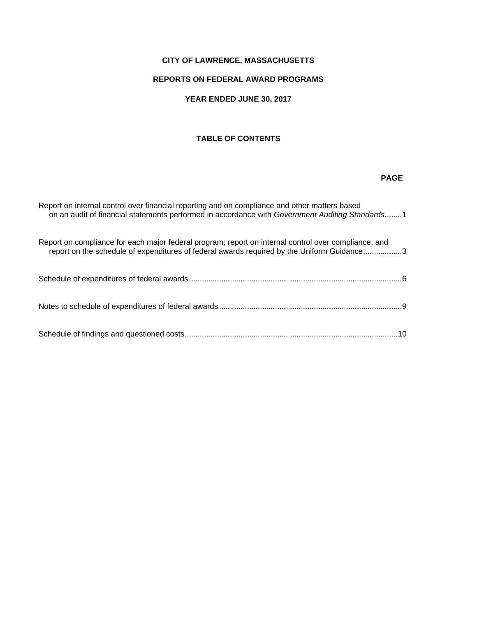# **CITY OF LAWRENCE, MASSACHUSETTS**

# **REPORTS ON FEDERAL AWARD PROGRAMS**

# **YEAR ENDED JUNE 30, 2017**

## **TABLE OF CONTENTS**

#### *PAGE AND RESERVE AT A PAGE AND RESERVE AT A PAGE AND RESERVE AT A PAGE AND RESERVE AT A PAGE AND RESERVE*

| Report on internal control over financial reporting and on compliance and other matters based<br>on an audit of financial statements performed in accordance with Government Auditing Standards1   |  |
|----------------------------------------------------------------------------------------------------------------------------------------------------------------------------------------------------|--|
| Report on compliance for each major federal program; report on internal control over compliance; and<br>report on the schedule of expenditures of federal awards required by the Uniform Guidance3 |  |
|                                                                                                                                                                                                    |  |
|                                                                                                                                                                                                    |  |
|                                                                                                                                                                                                    |  |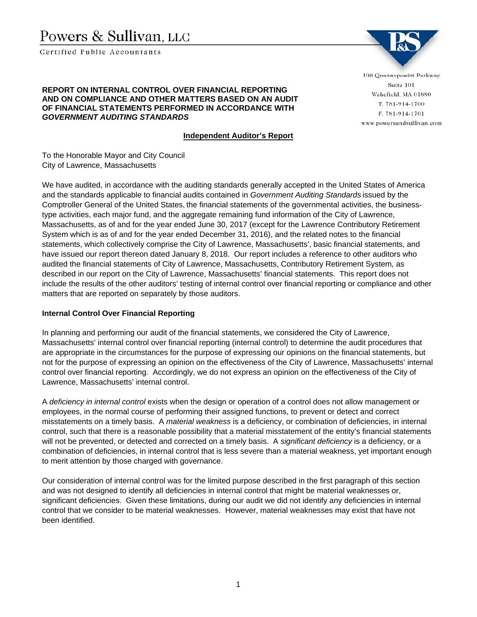# Powers & Sullivan, LLC

Certified Public Accountants



**REPORT ON INTERNAL CONTROL OVER FINANCIAL REPORTING AND ON COMPLIANCE AND OTHER MATTERS BASED ON AN AUDIT OF FINANCIAL STATEMENTS PERFORMED IN ACCORDANCE WITH**  *GOVERNMENT AUDITING STANDARDS* 

### **Independent Auditor's Report**

**Report on internal control over financial reporting and on compliance and other matters based on an audit of financial statements performed in accordance with** *Government Auditing Standards.* Wakefield, MA 01880 T. 781-914-1700 F. 781-914-1701 www.powersandsullivan.com

To the Honorable Mayor and City Council City of Lawrence, Massachusetts

We have audited, in accordance with the auditing standards generally accepted in the United States of America and the standards applicable to financial audits contained in *Government Auditing Standards* issued by the Comptroller General of the United States, the financial statements of the governmental activities, the businesstype activities, each major fund, and the aggregate remaining fund information of the City of Lawrence, Massachusetts, as of and for the year ended June 30, 2017 (except for the Lawrence Contributory Retirement System which is as of and for the year ended December 31, 2016), and the related notes to the financial statements, which collectively comprise the City of Lawrence, Massachusetts', basic financial statements, and have issued our report thereon dated January 8, 2018. Our report includes a reference to other auditors who audited the financial statements of City of Lawrence, Massachusetts, Contributory Retirement System*,* as described in our report on the City of Lawrence, Massachusetts' financial statements. This report does not include the results of the other auditors' testing of internal control over financial reporting or compliance and other matters that are reported on separately by those auditors.

# **Internal Control Over Financial Reporting**

In planning and performing our audit of the financial statements, we considered the City of Lawrence, Massachusetts' internal control over financial reporting (internal control) to determine the audit procedures that are appropriate in the circumstances for the purpose of expressing our opinions on the financial statements, but not for the purpose of expressing an opinion on the effectiveness of the City of Lawrence, Massachusetts' internal control over financial reporting. Accordingly, we do not express an opinion on the effectiveness of the City of Lawrence, Massachusetts' internal control.

A *deficiency in internal control* exists when the design or operation of a control does not allow management or employees, in the normal course of performing their assigned functions, to prevent or detect and correct misstatements on a timely basis. A *material weakness* is a deficiency, or combination of deficiencies, in internal control, such that there is a reasonable possibility that a material misstatement of the entity's financial statements will not be prevented, or detected and corrected on a timely basis. A *significant deficiency* is a deficiency, or a combination of deficiencies, in internal control that is less severe than a material weakness, yet important enough to merit attention by those charged with governance.

Our consideration of internal control was for the limited purpose described in the first paragraph of this section and was not designed to identify all deficiencies in internal control that might be material weaknesses or, significant deficiencies. Given these limitations, during our audit we did not identify any deficiencies in internal control that we consider to be material weaknesses. However, material weaknesses may exist that have not been identified.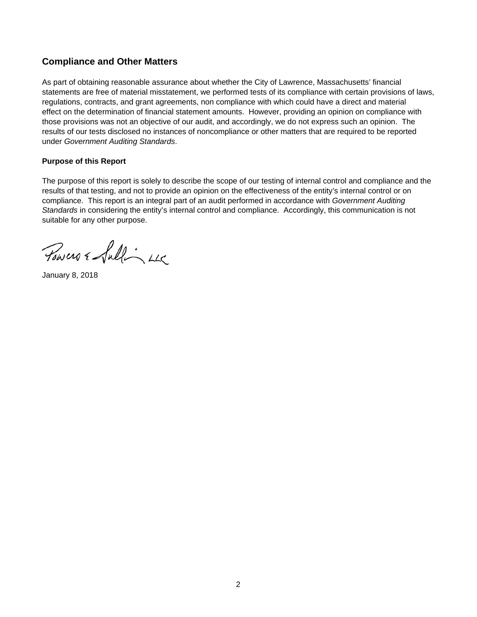# **Compliance and Other Matters**

As part of obtaining reasonable assurance about whether the City of Lawrence, Massachusetts' financial statements are free of material misstatement, we performed tests of its compliance with certain provisions of laws, regulations, contracts, and grant agreements, non compliance with which could have a direct and material effect on the determination of financial statement amounts. However, providing an opinion on compliance with those provisions was not an objective of our audit, and accordingly, we do not express such an opinion. The results of our tests disclosed no instances of noncompliance or other matters that are required to be reported under *Government Auditing Standards*.

# **Purpose of this Report**

The purpose of this report is solely to describe the scope of our testing of internal control and compliance and the results of that testing, and not to provide an opinion on the effectiveness of the entity's internal control or on compliance. This report is an integral part of an audit performed in accordance with *Government Auditing Standards* in considering the entity's internal control and compliance. Accordingly, this communication is not suitable for any other purpose.

Powers & Sulfing LLC

January 8, 2018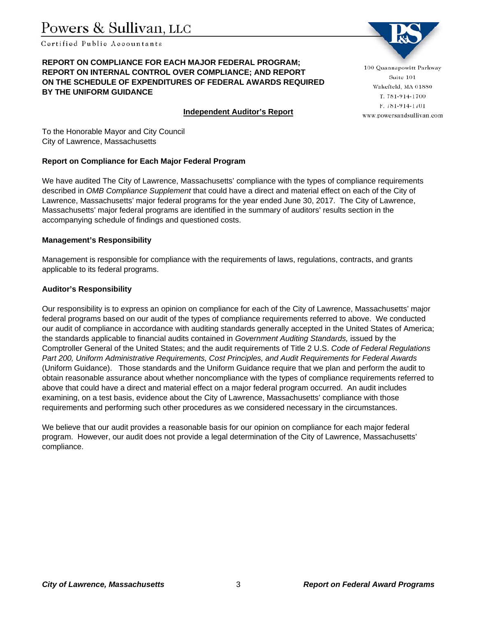# Powers & Sullivan, LLC

Certified Public Accountants

## **REPORT ON COMPLIANCE FOR EACH MAJOR FEDERAL PROGRAM; REPORT ON INTERNAL CONTROL OVER COMPLIANCE; AND REPORT ON THE SCHEDULE OF EXPENDITURES OF FEDERAL AWARDS REQUIRED BY THE UNIFORM GUIDANCE**

# **Independent Auditor's Report**

To the Honorable Mayor and City Council City of Lawrence, Massachusetts

# **Report on Compliance for Each Major Federal Program**

We have audited The City of Lawrence, Massachusetts' compliance with the types of compliance requirements described in *OMB Compliance Supplement* that could have a direct and material effect on each of the City of Lawrence, Massachusetts' major federal programs for the year ended June 30, 2017. The City of Lawrence, Massachusetts' major federal programs are identified in the summary of auditors' results section in the accompanying schedule of findings and questioned costs.

# **Management's Responsibility**

Management is responsible for compliance with the requirements of laws, regulations, contracts, and grants applicable to its federal programs.

# **Auditor's Responsibility**

Our responsibility is to express an opinion on compliance for each of the City of Lawrence, Massachusetts' major federal programs based on our audit of the types of compliance requirements referred to above. We conducted our audit of compliance in accordance with auditing standards generally accepted in the United States of America; the standards applicable to financial audits contained in *Government Auditing Standards,* issued by the Comptroller General of the United States; and the audit requirements of Title 2 U.S. *Code of Federal Regulations Part 200, Uniform Administrative Requirements, Cost Principles, and Audit Requirements for Federal Awards* (Uniform Guidance). Those standards and the Uniform Guidance require that we plan and perform the audit to obtain reasonable assurance about whether noncompliance with the types of compliance requirements referred to above that could have a direct and material effect on a major federal program occurred. An audit includes examining, on a test basis, evidence about the City of Lawrence, Massachusetts' compliance with those requirements and performing such other procedures as we considered necessary in the circumstances.

We believe that our audit provides a reasonable basis for our opinion on compliance for each major federal program. However, our audit does not provide a legal determination of the City of Lawrence, Massachusetts' compliance.



100 Quannapowitt Parkway Suite 101 Wakefield, MA 01880 T. 781-914-1700 F. 781-914-1701 www.powersandsullivan.com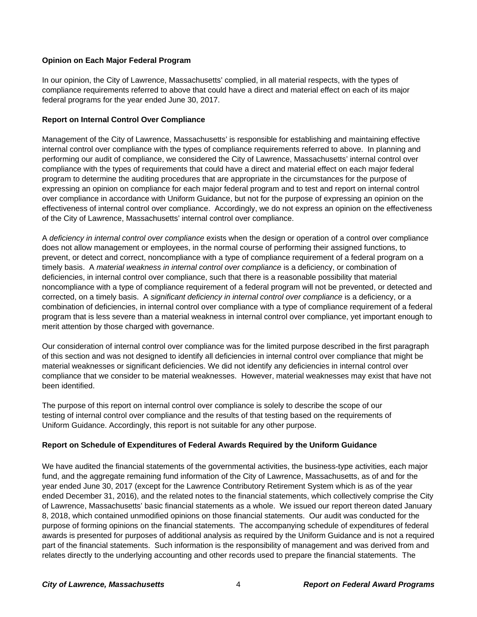# **Opinion on Each Major Federal Program**

In our opinion, the City of Lawrence, Massachusetts' complied, in all material respects, with the types of compliance requirements referred to above that could have a direct and material effect on each of its major federal programs for the year ended June 30, 2017.

### **Report on Internal Control Over Compliance**

Management of the City of Lawrence, Massachusetts' is responsible for establishing and maintaining effective internal control over compliance with the types of compliance requirements referred to above. In planning and performing our audit of compliance, we considered the City of Lawrence, Massachusetts' internal control over compliance with the types of requirements that could have a direct and material effect on each major federal program to determine the auditing procedures that are appropriate in the circumstances for the purpose of expressing an opinion on compliance for each major federal program and to test and report on internal control over compliance in accordance with Uniform Guidance, but not for the purpose of expressing an opinion on the effectiveness of internal control over compliance. Accordingly, we do not express an opinion on the effectiveness of the City of Lawrence, Massachusetts' internal control over compliance.

A *deficiency in internal control over compliance* exists when the design or operation of a control over compliance does not allow management or employees, in the normal course of performing their assigned functions, to prevent, or detect and correct, noncompliance with a type of compliance requirement of a federal program on a timely basis. A *material weakness in internal control over compliance* is a deficiency, or combination of deficiencies, in internal control over compliance, such that there is a reasonable possibility that material noncompliance with a type of compliance requirement of a federal program will not be prevented, or detected and corrected, on a timely basis. A *significant deficiency in internal control over compliance* is a deficiency, or a combination of deficiencies, in internal control over compliance with a type of compliance requirement of a federal program that is less severe than a material weakness in internal control over compliance, yet important enough to merit attention by those charged with governance.

Our consideration of internal control over compliance was for the limited purpose described in the first paragraph of this section and was not designed to identify all deficiencies in internal control over compliance that might be material weaknesses or significant deficiencies. We did not identify any deficiencies in internal control over compliance that we consider to be material weaknesses. However, material weaknesses may exist that have not been identified.

The purpose of this report on internal control over compliance is solely to describe the scope of our testing of internal control over compliance and the results of that testing based on the requirements of Uniform Guidance. Accordingly, this report is not suitable for any other purpose.

#### **Report on Schedule of Expenditures of Federal Awards Required by the Uniform Guidance**

We have audited the financial statements of the governmental activities, the business-type activities, each major fund, and the aggregate remaining fund information of the City of Lawrence, Massachusetts, as of and for the year ended June 30, 2017 (except for the Lawrence Contributory Retirement System which is as of the year ended December 31, 2016), and the related notes to the financial statements, which collectively comprise the City of Lawrence, Massachusetts' basic financial statements as a whole. We issued our report thereon dated January 8, 2018, which contained unmodified opinions on those financial statements. Our audit was conducted for the purpose of forming opinions on the financial statements. The accompanying schedule of expenditures of federal awards is presented for purposes of additional analysis as required by the Uniform Guidance and is not a required part of the financial statements. Such information is the responsibility of management and was derived from and relates directly to the underlying accounting and other records used to prepare the financial statements. The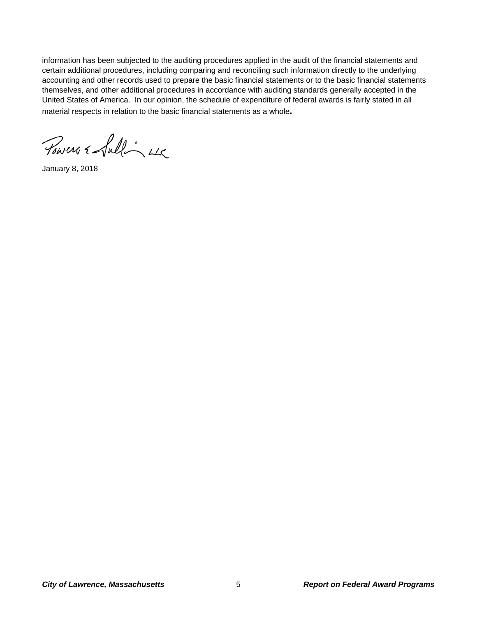information has been subjected to the auditing procedures applied in the audit of the financial statements and certain additional procedures, including comparing and reconciling such information directly to the underlying accounting and other records used to prepare the basic financial statements or to the basic financial statements themselves, and other additional procedures in accordance with auditing standards generally accepted in the United States of America. In our opinion, the schedule of expenditure of federal awards is fairly stated in all material respects in relation to the basic financial statements as a whole**.**

Powers & Sulling LLC

January 8, 2018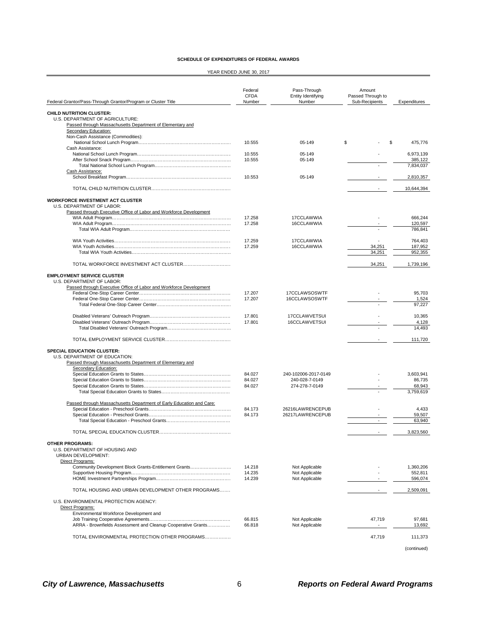| SCHEDULE OF EXPENDITURES OF FEDERAL AWARDS |  |
|--------------------------------------------|--|
|--------------------------------------------|--|

| YEAR ENDED JUNE 30, 2017 |  |
|--------------------------|--|
|--------------------------|--|

| Federal Grantor/Pass-Through Grantor/Program or Cluster Title                              | Federal<br><b>CFDA</b><br>Number | Pass-Through<br><b>Entity Identifying</b><br>Number | Amount<br>Passed Through to<br>Sub-Recipients | Expenditures       |
|--------------------------------------------------------------------------------------------|----------------------------------|-----------------------------------------------------|-----------------------------------------------|--------------------|
| <b>CHILD NUTRITION CLUSTER:</b>                                                            |                                  |                                                     |                                               |                    |
| U.S. DEPARTMENT OF AGRICULTURE:                                                            |                                  |                                                     |                                               |                    |
| Passed through Massachusetts Department of Elementary and                                  |                                  |                                                     |                                               |                    |
| <b>Secondary Education:</b><br>Non-Cash Assistance (Commodities):                          |                                  |                                                     |                                               |                    |
|                                                                                            | 10.555                           | 05-149                                              | S<br>\$                                       | 475,776            |
| Cash Assistance:                                                                           |                                  | 05-149                                              |                                               | 6,973,139          |
|                                                                                            | 10.555<br>10.555                 | 05-149                                              |                                               | 385,122            |
|                                                                                            |                                  |                                                     |                                               | 7,834,037          |
| Cash Assistance:                                                                           | 10.553                           | 05-149                                              |                                               | 2,810,357          |
|                                                                                            |                                  |                                                     |                                               |                    |
|                                                                                            |                                  |                                                     | $\sim$                                        | 10,644,394         |
| <b>WORKFORCE INVESTMENT ACT CLUSTER</b><br>U.S. DEPARTMENT OF LABOR:                       |                                  |                                                     |                                               |                    |
| Passed through Executive Office of Labor and Workforce Development                         |                                  |                                                     |                                               |                    |
|                                                                                            | 17.258<br>17.258                 | 17CCLAWWIA<br>16CCLAWWIA                            |                                               | 666,244<br>120,597 |
|                                                                                            |                                  |                                                     |                                               | 786,841            |
|                                                                                            |                                  |                                                     |                                               |                    |
|                                                                                            | 17.259<br>17.259                 | 17CCLAWWIA<br>16CCLAWWIA                            | 34,251                                        | 764,403<br>187,952 |
|                                                                                            |                                  |                                                     | 34,251                                        | 952,355            |
| TOTAL WORKFORCE INVESTMENT ACT CLUSTER                                                     |                                  |                                                     | 34,251                                        | 1,739,196          |
| <b>EMPLOYMENT SERVICE CLUSTER</b>                                                          |                                  |                                                     |                                               |                    |
| U.S. DEPARTMENT OF LABOR:                                                                  |                                  |                                                     |                                               |                    |
| Passed through Executive Office of Labor and Workforce Development                         | 17.207                           | 17CCLAWSOSWTF                                       |                                               | 95,703             |
|                                                                                            | 17.207                           | 16CCLAWSOSWTF                                       |                                               | 1,524              |
|                                                                                            |                                  |                                                     |                                               | 97,227             |
|                                                                                            |                                  |                                                     |                                               |                    |
|                                                                                            | 17.801<br>17.801                 | 17CCLAWVETSUI<br>16CCLAWVETSUI                      |                                               | 10,365<br>4,128    |
|                                                                                            |                                  |                                                     |                                               | 14,493             |
|                                                                                            |                                  |                                                     |                                               | 111,720            |
| <b>SPECIAL EDUCATION CLUSTER:</b>                                                          |                                  |                                                     |                                               |                    |
| U.S. DEPARTMENT OF EDUCATION:<br>Passed through Massachusetts Department of Elementary and |                                  |                                                     |                                               |                    |
| Secondary Education:                                                                       |                                  |                                                     |                                               |                    |
|                                                                                            | 84.027                           | 240-102006-2017-0149                                |                                               | 3,603,941          |
|                                                                                            | 84.027<br>84.027                 | 240-028-7-0149<br>274-278-7-0149                    |                                               | 86,735<br>68,943   |
|                                                                                            |                                  |                                                     |                                               | 3,759,619          |
|                                                                                            |                                  |                                                     |                                               |                    |
| Passed through Massachusetts Department of Early Education and Care:                       | 84.173                           | 26216LAWRENCEPUB                                    |                                               |                    |
|                                                                                            | 84.173                           | 26217LAWRENCEPUB                                    |                                               | 4,433<br>59,507    |
|                                                                                            |                                  |                                                     | $\sim$                                        | 63,940             |
|                                                                                            |                                  |                                                     |                                               | 3,823,560          |
| <b>OTHER PROGRAMS:</b>                                                                     |                                  |                                                     |                                               |                    |
| U.S. DEPARTMENT OF HOUSING AND<br><b>URBAN DEVELOPMENT:</b><br>Direct Programs:            |                                  |                                                     |                                               |                    |
| Community Development Block Grants-Entitlement Grants                                      | 14.218                           | Not Applicable                                      |                                               | 1,360,206          |
|                                                                                            | 14.235                           | Not Applicable                                      |                                               | 552,811            |
|                                                                                            | 14.239                           | Not Applicable                                      |                                               | 596,074            |
| TOTAL HOUSING AND URBAN DEVELOPMENT OTHER PROGRAMS                                         |                                  |                                                     | $\blacksquare$                                | 2,509,091          |
| U.S. ENVIRONMENTAL PROTECTION AGENCY:<br>Direct Programs:                                  |                                  |                                                     |                                               |                    |
| Environmental Workforce Development and                                                    |                                  |                                                     |                                               |                    |
| ARRA - Brownfields Assessment and Cleanup Cooperative Grants                               | 66.815<br>66.818                 | Not Applicable<br>Not Applicable                    | 47,719                                        | 97,681<br>13,692   |
| TOTAL ENVIRONMENTAL PROTECTION OTHER PROGRAMS                                              |                                  |                                                     | 47,719                                        | 111,373            |
|                                                                                            |                                  |                                                     |                                               | (continued)        |
|                                                                                            |                                  |                                                     |                                               |                    |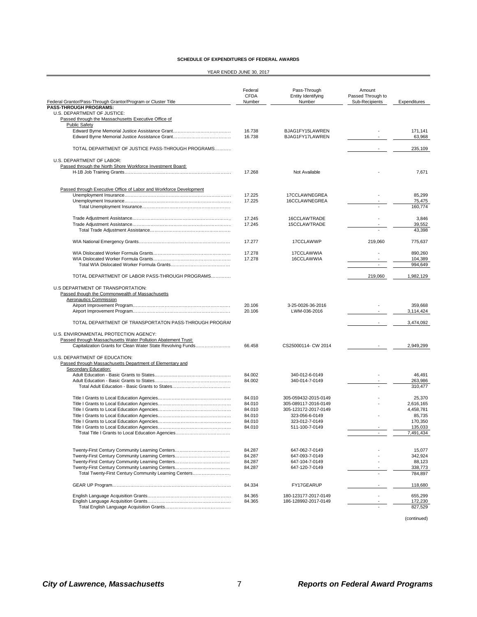#### **SCHEDULE OF EXPENDITURES OF FEDERAL AWARDS**

| YEAR ENDED JUNE 30, 2017 |  |
|--------------------------|--|
|--------------------------|--|

|                                                                                     | Federal<br><b>CFDA</b> | Pass-Through<br>Entity Identifying | Amount<br>Passed Through to |              |
|-------------------------------------------------------------------------------------|------------------------|------------------------------------|-----------------------------|--------------|
| Federal Grantor/Pass-Through Grantor/Program or Cluster Title                       | Number                 | Number                             | Sub-Recipients              | Expenditures |
| PASS-THROUGH PROGRAMS:                                                              |                        |                                    |                             |              |
| U.S. DEPARTMENT OF JUSTICE:<br>Passed through the Massachusetts Executive Office of |                        |                                    |                             |              |
| <b>Public Safety</b>                                                                |                        |                                    |                             |              |
|                                                                                     | 16.738                 | BJAG1FY15LAWREN                    |                             | 171,141      |
|                                                                                     | 16.738                 | BJAG1FY17LAWREN                    |                             | 63,968       |
|                                                                                     |                        |                                    |                             |              |
| TOTAL DEPARTMENT OF JUSTICE PASS-THROUGH PROGRAMS                                   |                        |                                    |                             | 235,109      |
| U.S. DEPARTMENT OF LABOR:                                                           |                        |                                    |                             |              |
| Passed through the North Shore Workforce Investment Board:                          |                        |                                    |                             |              |
|                                                                                     | 17.268                 | Not Available                      |                             | 7,671        |
|                                                                                     |                        |                                    |                             |              |
| Passed through Executive Office of Labor and Workforce Development                  |                        |                                    |                             |              |
|                                                                                     | 17.225                 | 17CCLAWNEGREA                      |                             | 85,299       |
|                                                                                     | 17.225                 | 16CCLAWNEGREA                      |                             | 75,475       |
|                                                                                     |                        |                                    |                             | 160,774      |
|                                                                                     |                        |                                    |                             |              |
|                                                                                     | 17.245                 | 16CCLAWTRADE                       |                             | 3,846        |
|                                                                                     | 17.245                 | 15CCLAWTRADE                       |                             | 39,552       |
|                                                                                     |                        |                                    |                             | 43,398       |
|                                                                                     |                        |                                    |                             |              |
|                                                                                     | 17.277                 | 17CCLAWWP                          | 219,060                     | 775,637      |
|                                                                                     |                        |                                    |                             |              |
|                                                                                     | 17.278                 | 17CCLAWWIA                         |                             | 890,260      |
|                                                                                     | 17.278                 | 16CCLAWWIA                         |                             | 104,389      |
|                                                                                     |                        |                                    | $\sim$                      | 994,649      |
| TOTAL DEPARTMENT OF LABOR PASS-THROUGH PROGRAMS                                     |                        |                                    | 219,060                     | 1,982,129    |
|                                                                                     |                        |                                    |                             |              |
| U.S DEPARTMENT OF TRANSPORTATION:                                                   |                        |                                    |                             |              |
| Passed though the Commonwealth of Massachusetts                                     |                        |                                    |                             |              |
| <b>Aeronautics Commission</b>                                                       |                        |                                    |                             |              |
|                                                                                     | 20.106                 | 3-25-0026-36-2016                  |                             | 359.668      |
|                                                                                     | 20.106                 | LWM-036-2016                       |                             | 3,114,424    |
|                                                                                     |                        |                                    |                             |              |
| TOTAL DEPARTMENT OF TRANSPORTATON PASS-THROUGH PROGRAI                              |                        |                                    | $\sim$                      | 3,474,092    |
| U.S. ENVIRONMENTAL PROTECTION AGENCY:                                               |                        |                                    |                             |              |
| Passed through Massachusetts Water Pollution Abatement Trust:                       |                        |                                    |                             |              |
| Capitalization Grants for Clean Water State Revolving Funds                         | 66.458                 | CS25000114- CW 2014                | $\overline{\phantom{a}}$    | 2,949,299    |
|                                                                                     |                        |                                    |                             |              |
| U.S. DEPARTMENT OF EDUCATION:                                                       |                        |                                    |                             |              |
| Passed through Massachusetts Department of Elementary and                           |                        |                                    |                             |              |
| Secondary Education:                                                                |                        |                                    |                             |              |
|                                                                                     | 84.002                 | 340-012-6-0149                     |                             | 46,491       |
|                                                                                     | 84.002                 | 340-014-7-0149                     |                             | 263,986      |
|                                                                                     |                        |                                    |                             | 310,477      |
|                                                                                     |                        |                                    |                             |              |
|                                                                                     | 84.010                 | 305-059432-2015-0149               |                             | 25,370       |
|                                                                                     | 84.010                 | 305-089117-2016-0149               |                             | 2.616.165    |
|                                                                                     | 84.010                 | 305-123172-2017-0149               |                             | 4,458,781    |
|                                                                                     | 84.010                 | 323-056-6-0149                     |                             | 85,735       |
|                                                                                     | 84.010                 | 323-012-7-0149                     |                             | 170,350      |
|                                                                                     | 84.010                 | 511-100-7-0149                     |                             | 135,033      |
|                                                                                     |                        |                                    |                             | 7,491,434    |
|                                                                                     |                        |                                    |                             |              |
| Twenty-First Century Community Learning Centers                                     | 84.287                 | 647-062-7-0149                     |                             | 15,077       |
| Twenty-First Century Community Learning Centers                                     | 84.287                 | 647-093-7-0149                     |                             | 342,924      |
| Twenty-First Century Community Learning Centers                                     | 84.287                 | 647-104-7-0149                     |                             | 88,123       |
| Twenty-First Century Community Learning Centers                                     | 84.287                 | 647-120-7-0149                     |                             | 338,773      |
| Total Twenty-First Century Community Learning Centers                               |                        |                                    |                             | 784,897      |
|                                                                                     | 84.334                 | FY17GEARUP                         |                             | 118,680      |
|                                                                                     |                        |                                    |                             |              |
|                                                                                     | 84.365                 | 180-123177-2017-0149               |                             | 655,299      |
|                                                                                     | 84.365                 | 186-128992-2017-0149               |                             | 172,230      |
|                                                                                     |                        |                                    |                             | 827,529      |

(continued)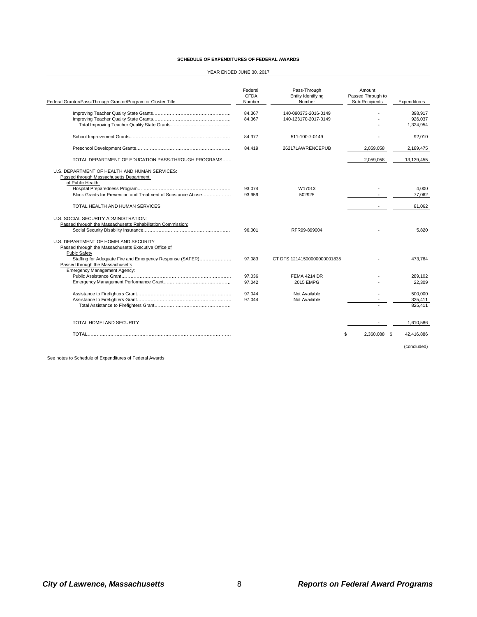#### **SCHEDULE OF EXPENDITURES OF FEDERAL AWARDS**

#### YEAR ENDED JUNE 30, 2017

| Federal Grantor/Pass-Through Grantor/Program or Cluster Title                                                                        | Federal<br><b>CFDA</b><br>Number | Pass-Through<br><b>Entity Identifying</b><br>Number | Amount<br>Passed Through to<br>Sub-Recipients | Expenditures         |
|--------------------------------------------------------------------------------------------------------------------------------------|----------------------------------|-----------------------------------------------------|-----------------------------------------------|----------------------|
|                                                                                                                                      | 84.367                           | 140-090373-2016-0149                                |                                               | 398.917              |
|                                                                                                                                      | 84.367                           | 140-123170-2017-0149                                |                                               | 926.037<br>1,324,954 |
|                                                                                                                                      | 84.377                           | 511-100-7-0149                                      |                                               | 92,010               |
|                                                                                                                                      | 84.419                           | 26217LAWRENCEPUB                                    | 2,059,058                                     | 2,189,475            |
| TOTAL DEPARTMENT OF EDUCATION PASS-THROUGH PROGRAMS                                                                                  |                                  |                                                     | 2,059,058                                     | 13,139,455           |
| U.S. DEPARTMENT OF HEALTH AND HUMAN SERVICES:<br>Passed through Massachusetts Department                                             |                                  |                                                     |                                               |                      |
| of Public Health:                                                                                                                    | 93.074                           | W17013                                              |                                               | 4,000                |
| Block Grants for Prevention and Treatment of Substance Abuse                                                                         | 93.959                           | 502925                                              |                                               | 77,062               |
| TOTAL HEALTH AND HUMAN SERVICES                                                                                                      |                                  |                                                     |                                               | 81.062               |
| U.S. SOCIAL SECURITY ADMINISTRATION:<br>Passed through the Massachusetts Rehabilitation Commission:                                  | 96.001                           | RFR99-899004                                        |                                               | 5.820                |
| U.S. DEPARTMENT OF HOMELAND SECURITY<br>Passed through the Massachusetts Executive Office of<br>Pubic Safety                         |                                  |                                                     |                                               |                      |
| Staffing for Adequate Fire and Emergency Response (SAFER)<br>Passed through the Massachusetts<br><b>Emergency Management Agency:</b> | 97.083                           | CT DFS 12141500000000001835                         |                                               | 473,764              |
|                                                                                                                                      | 97.036                           | <b>FEMA 4214 DR</b>                                 |                                               | 289.102              |
|                                                                                                                                      | 97.042                           | 2015 EMPG                                           |                                               | 22,309               |
|                                                                                                                                      | 97.044                           | Not Available                                       |                                               | 500.000              |
|                                                                                                                                      | 97.044                           | Not Available                                       |                                               | 325,411<br>825,411   |
|                                                                                                                                      |                                  |                                                     |                                               |                      |
| TOTAL HOMELAND SECURITY                                                                                                              |                                  |                                                     |                                               | 1.610.586            |
|                                                                                                                                      |                                  |                                                     | 2,360,088<br>\$.                              | 42,416,886           |
|                                                                                                                                      |                                  |                                                     |                                               | (concluded)          |

See notes to Schedule of Expenditures of Federal Awards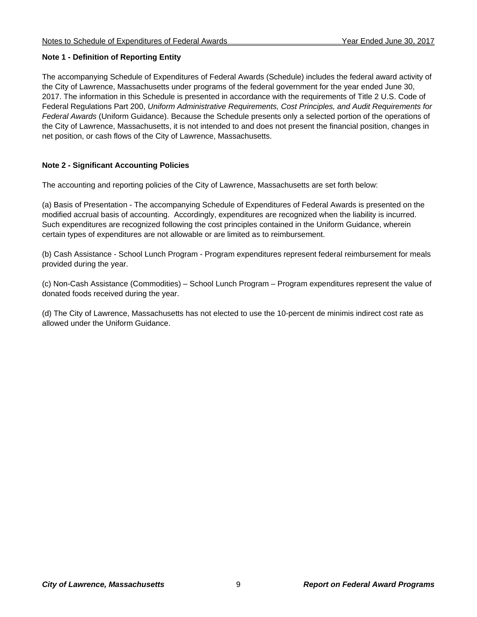# **Note 1 - Definition of Reporting Entity**

The accompanying Schedule of Expenditures of Federal Awards (Schedule) includes the federal award activity of the City of Lawrence, Massachusetts under programs of the federal government for the year ended June 30, 2017. The information in this Schedule is presented in accordance with the requirements of Title 2 U.S. Code of Federal Regulations Part 200, *Uniform Administrative Requirements, Cost Principles, and Audit Requirements for Federal Awards* (Uniform Guidance). Because the Schedule presents only a selected portion of the operations of the City of Lawrence, Massachusetts, it is not intended to and does not present the financial position, changes in net position, or cash flows of the City of Lawrence, Massachusetts.

# **Note 2 - Significant Accounting Policies**

The accounting and reporting policies of the City of Lawrence, Massachusetts are set forth below:

(a) Basis of Presentation - The accompanying Schedule of Expenditures of Federal Awards is presented on the modified accrual basis of accounting. Accordingly, expenditures are recognized when the liability is incurred. Such expenditures are recognized following the cost principles contained in the Uniform Guidance, wherein certain types of expenditures are not allowable or are limited as to reimbursement.

(b) Cash Assistance - School Lunch Program - Program expenditures represent federal reimbursement for meals provided during the year.

(c) Non-Cash Assistance (Commodities) – School Lunch Program – Program expenditures represent the value of donated foods received during the year.

(d) The City of Lawrence, Massachusetts has not elected to use the 10-percent de minimis indirect cost rate as allowed under the Uniform Guidance.